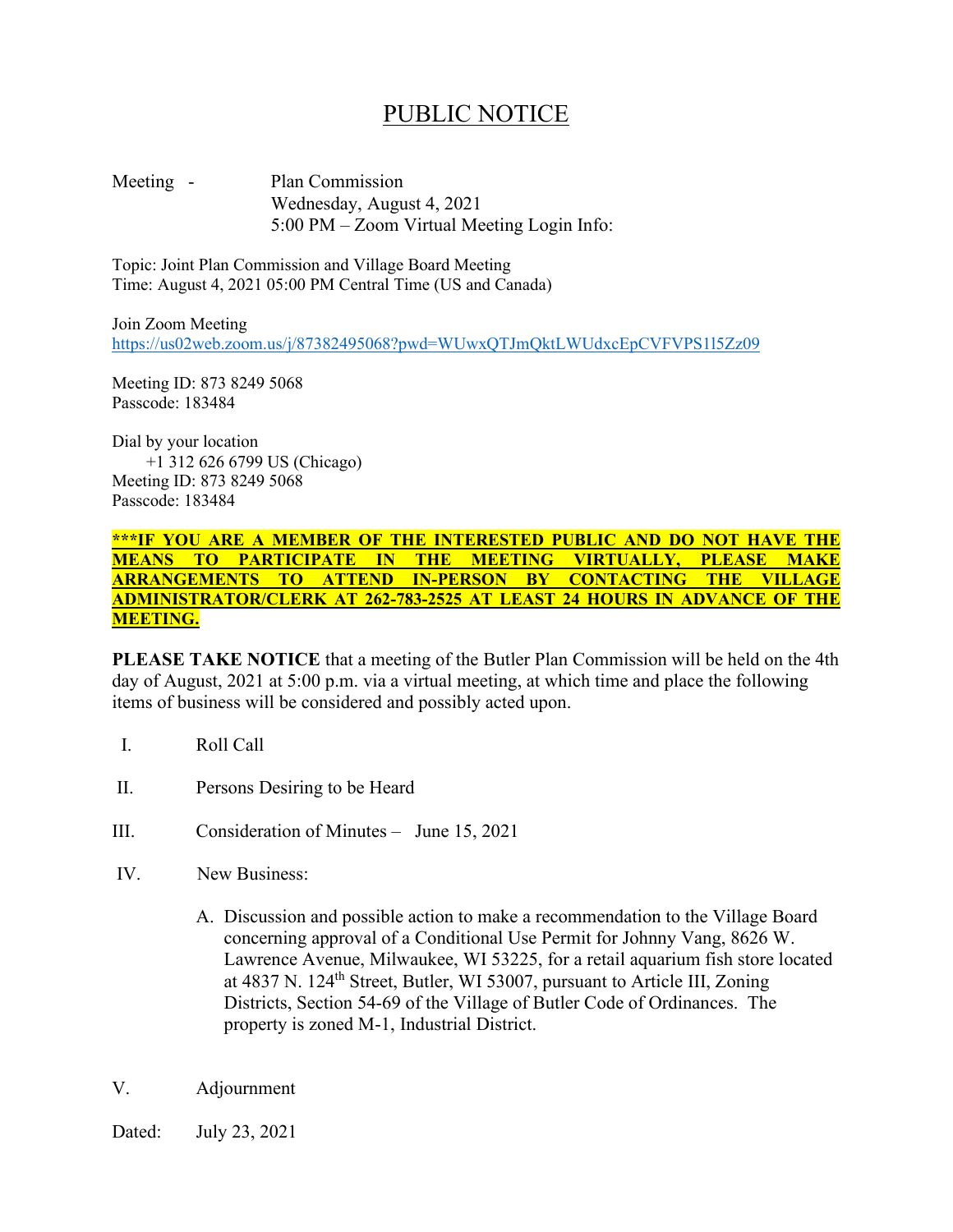## PUBLIC NOTICE

Meeting - Plan Commission Wednesday, August 4, 2021 5:00 PM – Zoom Virtual Meeting Login Info:

Topic: Joint Plan Commission and Village Board Meeting Time: August 4, 2021 05:00 PM Central Time (US and Canada)

Join Zoom Meeting <https://us02web.zoom.us/j/87382495068?pwd=WUwxQTJmQktLWUdxcEpCVFVPS1l5Zz09>

Meeting ID: 873 8249 5068 Passcode: 183484

Dial by your location +1 312 626 6799 US (Chicago) Meeting ID: 873 8249 5068 Passcode: 183484

## **\*\*\*IF YOU ARE A MEMBER OF THE INTERESTED PUBLIC AND DO NOT HAVE THE MEANS TO PARTICIPATE IN THE MEETING VIRTUALLY, PLEASE MAKE ARRANGEMENTS TO ATTEND IN-PERSON BY CONTACTING THE VILLAGE ADMINISTRATOR/CLERK AT 262-783-2525 AT LEAST 24 HOURS IN ADVANCE OF THE MEETING.**

**PLEASE TAKE NOTICE** that a meeting of the Butler Plan Commission will be held on the 4th day of August, 2021 at 5:00 p.m. via a virtual meeting, at which time and place the following items of business will be considered and possibly acted upon.

- I. Roll Call
- II. Persons Desiring to be Heard
- III. Consideration of Minutes June 15, 2021
- IV. New Business:
	- A. Discussion and possible action to make a recommendation to the Village Board concerning approval of a Conditional Use Permit for Johnny Vang, 8626 W. Lawrence Avenue, Milwaukee, WI 53225, for a retail aquarium fish store located at 4837 N. 124th Street, Butler, WI 53007, pursuant to Article III, Zoning Districts, Section 54-69 of the Village of Butler Code of Ordinances. The property is zoned M-1, Industrial District.
- V. Adjournment
- Dated: July 23, 2021